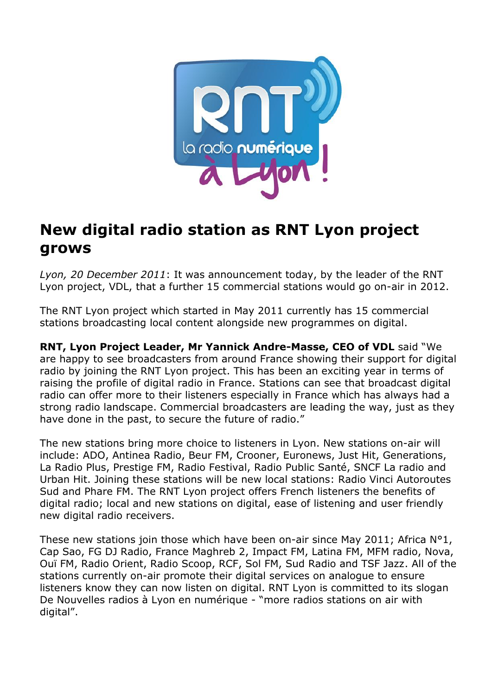

# **New digital radio station as RNT Lyon project grows**

*Lyon, 20 December 2011*: It was announcement today, by the leader of the RNT Lyon project, VDL, that a further 15 commercial stations would go on-air in 2012.

The RNT Lyon project which started in May 2011 currently has 15 commercial stations broadcasting local content alongside new programmes on digital.

**RNT, Lyon Project Leader, Mr Yannick Andre-Masse, CEO of VDL** said "We are happy to see broadcasters from around France showing their support for digital radio by joining the RNT Lyon project. This has been an exciting year in terms of raising the profile of digital radio in France. Stations can see that broadcast digital radio can offer more to their listeners especially in France which has always had a strong radio landscape. Commercial broadcasters are leading the way, just as they have done in the past, to secure the future of radio."

The new stations bring more choice to listeners in Lyon. New stations on-air will include: ADO, Antinea Radio, Beur FM, Crooner, Euronews, Just Hit, Generations, La Radio Plus, Prestige FM, Radio Festival, Radio Public Santé, SNCF La radio and Urban Hit. Joining these stations will be new local stations: Radio Vinci Autoroutes Sud and Phare FM. The RNT Lyon project offers French listeners the benefits of digital radio; local and new stations on digital, ease of listening and user friendly new digital radio receivers.

These new stations join those which have been on-air since May 2011; Africa N°1, Cap Sao, FG DJ Radio, France Maghreb 2, Impact FM, Latina FM, MFM radio, Nova, Ouï FM, Radio Orient, Radio Scoop, RCF, Sol FM, Sud Radio and TSF Jazz. All of the stations currently on-air promote their digital services on analogue to ensure listeners know they can now listen on digital. RNT Lyon is committed to its slogan De Nouvelles radios à Lyon en numérique - "more radios stations on air with digital".